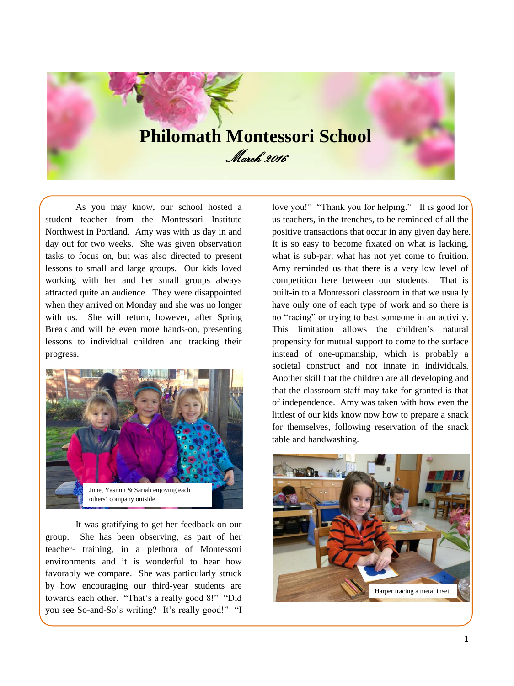# **Philomath Montessori School** March 2016

As you may know, our school hosted a student teacher from the Montessori Institute Northwest in Portland. Amy was with us day in and day out for two weeks. She was given observation tasks to focus on, but was also directed to present lessons to small and large groups. Our kids loved working with her and her small groups always attracted quite an audience. They were disappointed when they arrived on Monday and she was no longer with us. She will return, however, after Spring Break and will be even more hands-on, presenting lessons to individual children and tracking their progress.



It was gratifying to get her feedback on our group. She has been observing, as part of her teacher- training, in a plethora of Montessori environments and it is wonderful to hear how favorably we compare. She was particularly struck by how encouraging our third-year students are towards each other. "That's a really good 8!" "Did you see So-and-So's writing? It's really good!" "I

love you!" "Thank you for helping." It is good for us teachers, in the trenches, to be reminded of all the positive transactions that occur in any given day here. It is so easy to become fixated on what is lacking, what is sub-par, what has not yet come to fruition. Amy reminded us that there is a very low level of competition here between our students. That is built-in to a Montessori classroom in that we usually have only one of each type of work and so there is no "racing" or trying to best someone in an activity. This limitation allows the children's natural propensity for mutual support to come to the surface instead of one-upmanship, which is probably a societal construct and not innate in individuals. Another skill that the children are all developing and that the classroom staff may take for granted is that of independence. Amy was taken with how even the littlest of our kids know now how to prepare a snack for themselves, following reservation of the snack table and handwashing.

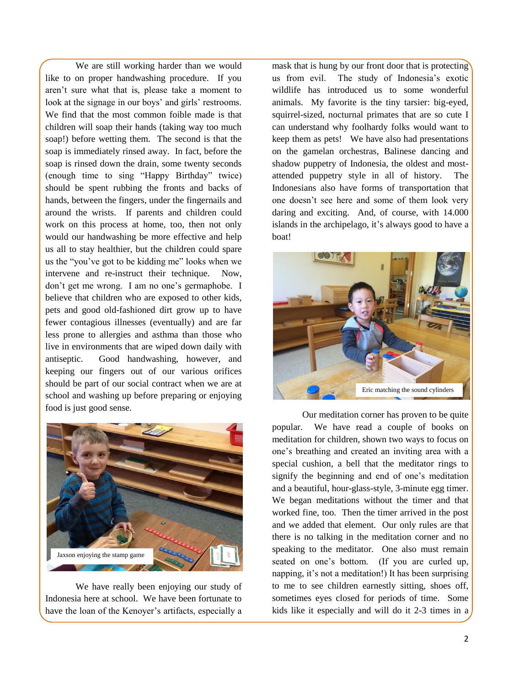We are still working harder than we would like to on proper handwashing procedure. If you aren't sure what that is, please take a moment to look at the signage in our boys' and girls' restrooms. We find that the most common foible made is that children will soap their hands (taking way too much soap!) before wetting them. The second is that the soap is immediately rinsed away. In fact, before the soap is rinsed down the drain, some twenty seconds (enough time to sing "Happy Birthday" twice) should be spent rubbing the fronts and backs of hands, between the fingers, under the fingernails and around the wrists. If parents and children could work on this process at home, too, then not only would our handwashing be more effective and help us all to stay healthier, but the children could spare us the "you've got to be kidding me" looks when we intervene and re-instruct their technique. Now, don't get me wrong. I am no one's germaphobe. I believe that children who are exposed to other kids, pets and good old-fashioned dirt grow up to have fewer contagious illnesses (eventually) and are far less prone to allergies and asthma than those who live in environments that are wiped down daily with antiseptic. Good handwashing, however, and keeping our fingers out of our various orifices should be part of our social contract when we are at school and washing up before preparing or enjoying food is just good sense.



We have really been enjoying our study of Indonesia here at school. We have been fortunate to have the loan of the Kenoyer's artifacts, especially a mask that is hung by our front door that is protecting us from evil. The study of Indonesia's exotic wildlife has introduced us to some wonderful animals. My favorite is the tiny tarsier: big-eyed, squirrel-sized, nocturnal primates that are so cute I can understand why foolhardy folks would want to keep them as pets! We have also had presentations on the gamelan orchestras, Balinese dancing and shadow puppetry of Indonesia, the oldest and mostattended puppetry style in all of history. The Indonesians also have forms of transportation that one doesn't see here and some of them look very daring and exciting. And, of course, with 14.000 islands in the archipelago, it's always good to have a boat!



Our meditation corner has proven to be quite popular. We have read a couple of books on meditation for children, shown two ways to focus on one's breathing and created an inviting area with a special cushion, a bell that the meditator rings to signify the beginning and end of one's meditation and a beautiful, hour-glass-style, 3-minute egg timer. We began meditations without the timer and that worked fine, too. Then the timer arrived in the post and we added that element. Our only rules are that there is no talking in the meditation corner and no speaking to the meditator. One also must remain seated on one's bottom. (If you are curled up, napping, it's not a meditation!) It has been surprising to me to see children earnestly sitting, shoes off, sometimes eyes closed for periods of time. Some kids like it especially and will do it 2-3 times in a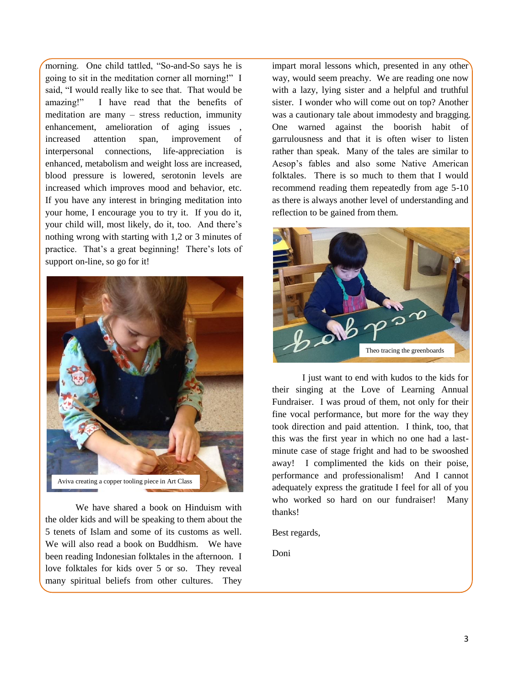morning. One child tattled, "So-and-So says he is going to sit in the meditation corner all morning!" I said, "I would really like to see that. That would be amazing!" I have read that the benefits of meditation are many – stress reduction, immunity enhancement, amelioration of aging issues increased attention span, improvement of interpersonal connections, life-appreciation is enhanced, metabolism and weight loss are increased, blood pressure is lowered, serotonin levels are increased which improves mood and behavior, etc. If you have any interest in bringing meditation into your home, I encourage you to try it. If you do it, your child will, most likely, do it, too. And there's nothing wrong with starting with 1,2 or 3 minutes of practice. That's a great beginning! There's lots of support on-line, so go for it!



We have shared a book on Hinduism with the older kids and will be speaking to them about the 5 tenets of Islam and some of its customs as well. We will also read a book on Buddhism. We have been reading Indonesian folktales in the afternoon. I love folktales for kids over 5 or so. They reveal many spiritual beliefs from other cultures. They impart moral lessons which, presented in any other way, would seem preachy. We are reading one now with a lazy, lying sister and a helpful and truthful sister. I wonder who will come out on top? Another was a cautionary tale about immodesty and bragging. One warned against the boorish habit of garrulousness and that it is often wiser to listen rather than speak. Many of the tales are similar to Aesop's fables and also some Native American folktales. There is so much to them that I would recommend reading them repeatedly from age 5-10 as there is always another level of understanding and reflection to be gained from them.



I just want to end with kudos to the kids for their singing at the Love of Learning Annual Fundraiser. I was proud of them, not only for their fine vocal performance, but more for the way they took direction and paid attention. I think, too, that this was the first year in which no one had a lastminute case of stage fright and had to be swooshed away! I complimented the kids on their poise, performance and professionalism! And I cannot adequately express the gratitude I feel for all of you who worked so hard on our fundraiser! Many thanks!

Best regards,

Doni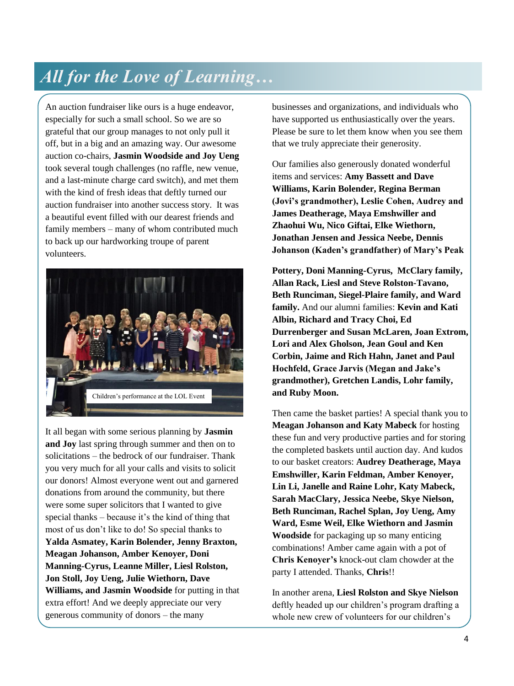### *All for the Love of Learning…*

An auction fundraiser like ours is a huge endeavor, especially for such a small school. So we are so grateful that our group manages to not only pull it off, but in a big and an amazing way. Our awesome auction co-chairs, **Jasmin Woodside and Joy Ueng** took several tough challenges (no raffle, new venue, and a last-minute charge card switch), and met them with the kind of fresh ideas that deftly turned our auction fundraiser into another success story. It was a beautiful event filled with our dearest friends and family members – many of whom contributed much to back up our hardworking troupe of parent volunteers.



It all began with some serious planning by **Jasmin and Joy** last spring through summer and then on to solicitations – the bedrock of our fundraiser. Thank you very much for all your calls and visits to solicit our donors! Almost everyone went out and garnered donations from around the community, but there were some super solicitors that I wanted to give special thanks – because it's the kind of thing that most of us don't like to do! So special thanks to **Yalda Asmatey, Karin Bolender, Jenny Braxton, Meagan Johanson, Amber Kenoyer, Doni Manning-Cyrus, Leanne Miller, Liesl Rolston, Jon Stoll, Joy Ueng, Julie Wiethorn, Dave Williams, and Jasmin Woodside** for putting in that extra effort! And we deeply appreciate our very generous community of donors – the many

businesses and organizations, and individuals who have supported us enthusiastically over the years. Please be sure to let them know when you see them that we truly appreciate their generosity.

Our families also generously donated wonderful items and services: **Amy Bassett and Dave Williams, Karin Bolender, Regina Berman (Jovi's grandmother), Leslie Cohen, Audrey and James Deatherage, Maya Emshwiller and Zhaohui Wu, Nico Giftai, Elke Wiethorn, Jonathan Jensen and Jessica Neebe, Dennis Johanson (Kaden's grandfather) of Mary's Peak** 

**Pottery, Doni Manning-Cyrus, McClary family, Allan Rack, Liesl and Steve Rolston-Tavano, Beth Runciman, Siegel-Plaire family, and Ward family.** And our alumni families: **Kevin and Kati Albin, Richard and Tracy Choi, Ed Durrenberger and Susan McLaren, Joan Extrom, Lori and Alex Gholson, Jean Goul and Ken Corbin, Jaime and Rich Hahn, Janet and Paul Hochfeld, Grace Jarvis (Megan and Jake's grandmother), Gretchen Landis, Lohr family, and Ruby Moon.** 

Then came the basket parties! A special thank you to **Meagan Johanson and Katy Mabeck** for hosting these fun and very productive parties and for storing the completed baskets until auction day. And kudos to our basket creators: **Audrey Deatherage, Maya Emshwiller, Karin Feldman, Amber Kenoyer, Lin Li, Janelle and Raine Lohr, Katy Mabeck, Sarah MacClary, Jessica Neebe, Skye Nielson, Beth Runciman, Rachel Splan, Joy Ueng, Amy Ward, Esme Weil, Elke Wiethorn and Jasmin Woodside** for packaging up so many enticing combinations! Amber came again with a pot of **Chris Kenoyer's** knock-out clam chowder at the party I attended. Thanks, **Chris**!!

In another arena, **Liesl Rolston and Skye Nielson** deftly headed up our children's program drafting a whole new crew of volunteers for our children's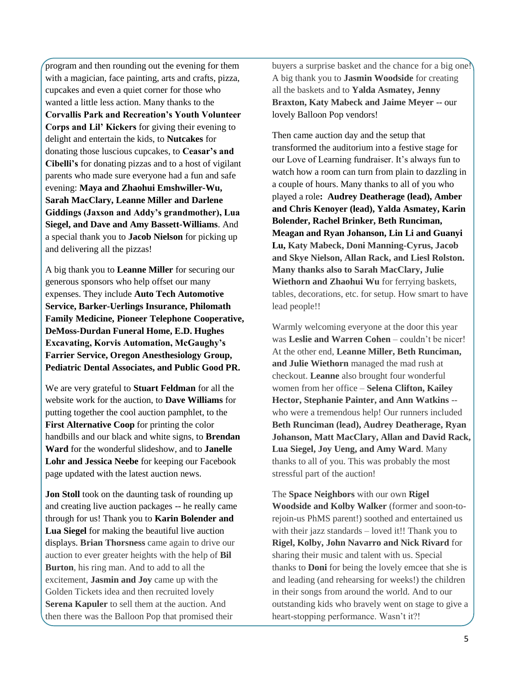program and then rounding out the evening for them with a magician, face painting, arts and crafts, pizza, cupcakes and even a quiet corner for those who wanted a little less action. Many thanks to the **Corvallis Park and Recreation's Youth Volunteer Corps and Lil' Kickers** for giving their evening to delight and entertain the kids, to **Nutcakes** for donating those luscious cupcakes, to **Ceasar's and Cibelli's** for donating pizzas and to a host of vigilant parents who made sure everyone had a fun and safe evening: **Maya and Zhaohui Emshwiller-Wu, Sarah MacClary, Leanne Miller and Darlene Giddings (Jaxson and Addy's grandmother), Lua Siegel, and Dave and Amy Bassett-Williams**. And a special thank you to **Jacob Nielson** for picking up and delivering all the pizzas!

A big thank you to **Leanne Miller** for securing our generous sponsors who help offset our many expenses. They include **Auto Tech Automotive Service, Barker-Uerlings Insurance, Philomath Family Medicine, Pioneer Telephone Cooperative, DeMoss-Durdan Funeral Home, E.D. Hughes Excavating, Korvis Automation, McGaughy's Farrier Service, Oregon Anesthesiology Group, Pediatric Dental Associates, and Public Good PR.**

We are very grateful to **Stuart Feldman** for all the website work for the auction, to **Dave Williams** for putting together the cool auction pamphlet, to the **First Alternative Coop** for printing the color handbills and our black and white signs, to **Brendan Ward** for the wonderful slideshow, and to **Janelle Lohr and Jessica Neebe** for keeping our Facebook page updated with the latest auction news.

**Jon Stoll** took on the daunting task of rounding up and creating live auction packages -- he really came through for us! Thank you to **Karin Bolender and Lua Siegel** for making the beautiful live auction displays. **Brian Thorsness** came again to drive our auction to ever greater heights with the help of **Bil Burton**, his ring man. And to add to all the excitement, **Jasmin and Joy** came up with the Golden Tickets idea and then recruited lovely **Serena Kapuler** to sell them at the auction. And then there was the Balloon Pop that promised their

buyers a surprise basket and the chance for a big one! A big thank you to **Jasmin Woodside** for creating all the baskets and to **Yalda Asmatey, Jenny Braxton, Katy Mabeck and Jaime Meyer** -- our lovely Balloon Pop vendors!

Then came auction day and the setup that transformed the auditorium into a festive stage for our Love of Learning fundraiser. It's always fun to watch how a room can turn from plain to dazzling in a couple of hours. Many thanks to all of you who played a role**: Audrey Deatherage (lead), Amber and Chris Kenoyer (lead), Yalda Asmatey, Karin Bolender, Rachel Brinker, Beth Runciman, Meagan and Ryan Johanson, Lin Li and Guanyi Lu, Katy Mabeck, Doni Manning-Cyrus, Jacob and Skye Nielson, Allan Rack, and Liesl Rolston. Many thanks also to Sarah MacClary, Julie Wiethorn and Zhaohui Wu** for ferrying baskets, tables, decorations, etc. for setup. How smart to have lead people!!

Warmly welcoming everyone at the door this year was **Leslie and Warren Cohen** – couldn't be nicer! At the other end, **Leanne Miller, Beth Runciman, and Julie Wiethorn** managed the mad rush at checkout. **Leanne** also brought four wonderful women from her office – **Selena Clifton, Kailey Hector, Stephanie Painter, and Ann Watkins** - who were a tremendous help! Our runners included **Beth Runciman (lead), Audrey Deatherage, Ryan Johanson, Matt MacClary, Allan and David Rack, Lua Siegel, Joy Ueng, and Amy Ward**. Many thanks to all of you. This was probably the most stressful part of the auction!

The **Space Neighbors** with our own **Rigel Woodside and Kolby Walker** (former and soon-torejoin-us PhMS parent!) soothed and entertained us with their jazz standards – loved it!! Thank you to **Rigel, Kolby, John Navarro and Nick Rivard** for sharing their music and talent with us. Special thanks to **Doni** for being the lovely emcee that she is and leading (and rehearsing for weeks!) the children in their songs from around the world. And to our outstanding kids who bravely went on stage to give a heart-stopping performance. Wasn't it?!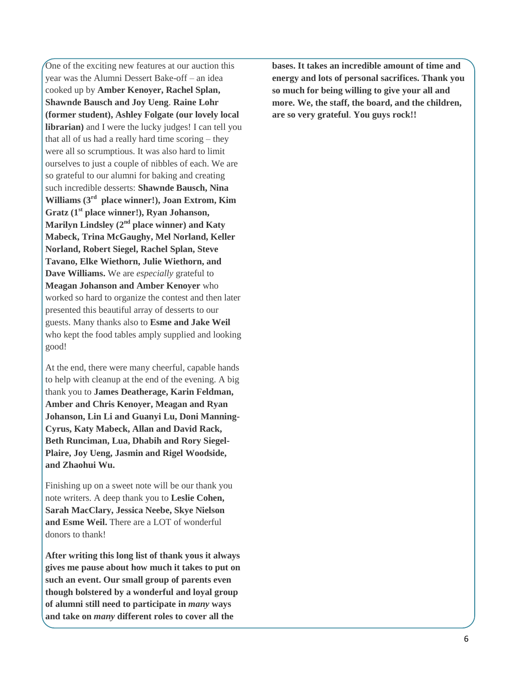One of the exciting new features at our auction this year was the Alumni Dessert Bake-off – an idea cooked up by **Amber Kenoyer, Rachel Splan, Shawnde Bausch and Joy Ueng**. **Raine Lohr (former student), Ashley Folgate (our lovely local librarian)** and I were the lucky judges! I can tell you that all of us had a really hard time scoring – they were all so scrumptious. It was also hard to limit ourselves to just a couple of nibbles of each. We are so grateful to our alumni for baking and creating such incredible desserts: **Shawnde Bausch, Nina Williams (3rd place winner!), Joan Extrom, Kim Gratz (1st place winner!), Ryan Johanson, Marilyn Lindsley (2nd place winner) and Katy Mabeck, Trina McGaughy, Mel Norland, Keller Norland, Robert Siegel, Rachel Splan, Steve Tavano, Elke Wiethorn, Julie Wiethorn, and Dave Williams.** We are *especially* grateful to **Meagan Johanson and Amber Kenoyer** who worked so hard to organize the contest and then later presented this beautiful array of desserts to our guests. Many thanks also to **Esme and Jake Weil** who kept the food tables amply supplied and looking good!

At the end, there were many cheerful, capable hands to help with cleanup at the end of the evening. A big thank you to **James Deatherage, Karin Feldman, Amber and Chris Kenoyer, Meagan and Ryan Johanson, Lin Li and Guanyi Lu, Doni Manning-Cyrus, Katy Mabeck, Allan and David Rack, Beth Runciman, Lua, Dhabih and Rory Siegel-Plaire, Joy Ueng, Jasmin and Rigel Woodside, and Zhaohui Wu.**

Finishing up on a sweet note will be our thank you note writers. A deep thank you to **Leslie Cohen, Sarah MacClary, Jessica Neebe, Skye Nielson and Esme Weil.** There are a LOT of wonderful donors to thank!

**After writing this long list of thank yous it always gives me pause about how much it takes to put on such an event. Our small group of parents even though bolstered by a wonderful and loyal group of alumni still need to participate in** *many* **ways and take on** *many* **different roles to cover all the** 

**bases. It takes an incredible amount of time and energy and lots of personal sacrifices. Thank you so much for being willing to give your all and more. We, the staff, the board, and the children, are so very grateful**. **You guys rock!!**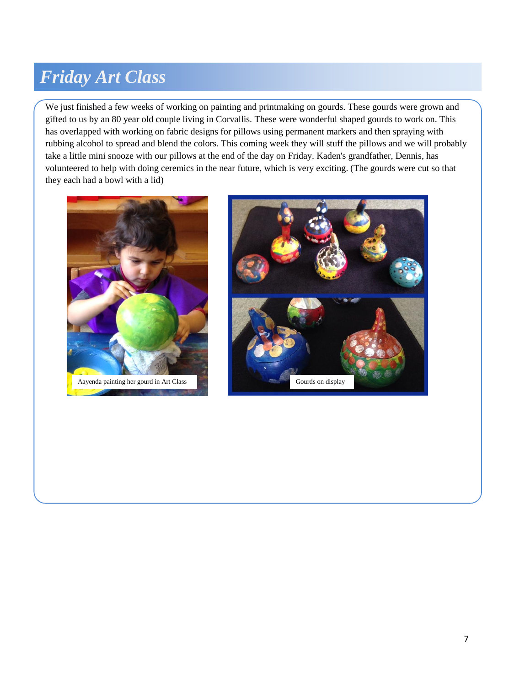#### *Friday Art Class*

We just finished a few weeks of working on painting and printmaking on gourds. These gourds were grown and gifted to us by an 80 year old couple living in Corvallis. These were wonderful shaped gourds to work on. This has overlapped with working on fabric designs for pillows using permanent markers and then spraying with rubbing alcohol to spread and blend the colors. This coming week they will stuff the pillows and we will probably take a little mini snooze with our pillows at the end of the day on Friday. Kaden's grandfather, Dennis, has volunteered to help with doing ceremics in the near future, which is very exciting. (The gourds were cut so that they each had a bowl with a lid)



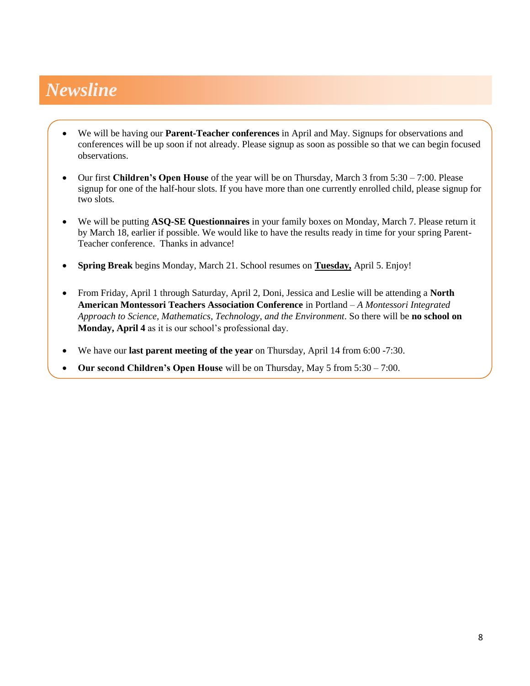### *Newsline*

- We will be having our **Parent-Teacher conferences** in April and May. Signups for observations and conferences will be up soon if not already. Please signup as soon as possible so that we can begin focused observations.
- Our first **Children's Open House** of the year will be on Thursday, March 3 from 5:30 7:00. Please signup for one of the half-hour slots. If you have more than one currently enrolled child, please signup for two slots.
- We will be putting **ASQ-SE Questionnaires** in your family boxes on Monday, March 7. Please return it by March 18, earlier if possible. We would like to have the results ready in time for your spring Parent-Teacher conference.Thanks in advance!
- **Spring Break** begins Monday, March 21. School resumes on **Tuesday,** April 5. Enjoy!
- From Friday, April 1 through Saturday, April 2, Doni, Jessica and Leslie will be attending a **North American Montessori Teachers Association Conference** in Portland – *A Montessori Integrated Approach to Science, Mathematics, Technology, and the Environment*. So there will be **no school on Monday, April 4** as it is our school's professional day.
- We have our **last parent meeting of the year** on Thursday, April 14 from 6:00 -7:30.
- **Our second Children's Open House** will be on Thursday, May 5 from 5:30 7:00.